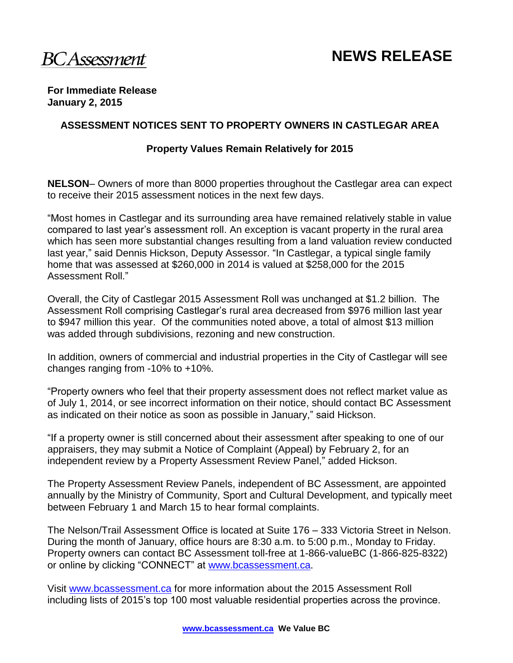#### **For Immediate Release January 2, 2015**

#### **ASSESSMENT NOTICES SENT TO PROPERTY OWNERS IN CASTLEGAR AREA**

#### **Property Values Remain Relatively for 2015**

**NELSON**– Owners of more than 8000 properties throughout the Castlegar area can expect to receive their 2015 assessment notices in the next few days.

"Most homes in Castlegar and its surrounding area have remained relatively stable in value compared to last year's assessment roll. An exception is vacant property in the rural area which has seen more substantial changes resulting from a land valuation review conducted last year," said Dennis Hickson, Deputy Assessor. "In Castlegar, a typical single family home that was assessed at \$260,000 in 2014 is valued at \$258,000 for the 2015 Assessment Roll."

Overall, the City of Castlegar 2015 Assessment Roll was unchanged at \$1.2 billion. The Assessment Roll comprising Castlegar's rural area decreased from \$976 million last year to \$947 million this year. Of the communities noted above, a total of almost \$13 million was added through subdivisions, rezoning and new construction.

In addition, owners of commercial and industrial properties in the City of Castlegar will see changes ranging from -10% to +10%.

"Property owners who feel that their property assessment does not reflect market value as of July 1, 2014, or see incorrect information on their notice, should contact BC Assessment as indicated on their notice as soon as possible in January," said Hickson.

"If a property owner is still concerned about their assessment after speaking to one of our appraisers, they may submit a Notice of Complaint (Appeal) by February 2, for an independent review by a Property Assessment Review Panel," added Hickson.

The Property Assessment Review Panels, independent of BC Assessment, are appointed annually by the Ministry of Community, Sport and Cultural Development, and typically meet between February 1 and March 15 to hear formal complaints.

The Nelson/Trail Assessment Office is located at Suite 176 – 333 Victoria Street in Nelson. During the month of January, office hours are 8:30 a.m. to 5:00 p.m., Monday to Friday. Property owners can contact BC Assessment toll-free at 1-866-valueBC (1-866-825-8322) or online by clicking "CONNECT" at [www.bcassessment.ca](http://www.bcassessment.ca/).

Visit [www.bcassessment.ca](http://www.bcassessment.ca/) for more information about the 2015 Assessment Roll including lists of 2015's top 100 most valuable residential properties across the province.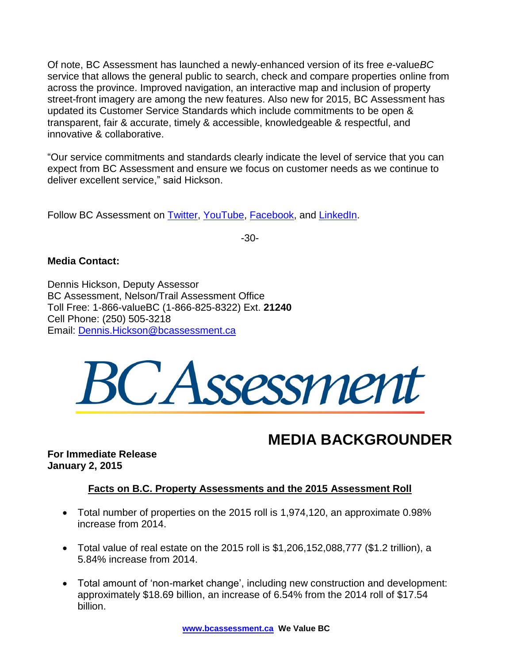Of note, BC Assessment has launched a newly-enhanced version of its free *e*-value*BC*  service that allows the general public to search, check and compare properties online from across the province. Improved navigation, an interactive map and inclusion of property street-front imagery are among the new features. Also new for 2015, BC Assessment has updated its Customer Service Standards which include commitments to be open & transparent, fair & accurate, timely & accessible, knowledgeable & respectful, and innovative & collaborative.

"Our service commitments and standards clearly indicate the level of service that you can expect from BC Assessment and ensure we focus on customer needs as we continue to deliver excellent service," said Hickson.

Follow BC Assessment on **Twitter, [YouTube,](http://www.youtube.com/user/BCAssessmentVideos) Facebook**, and [LinkedIn.](http://www.linkedin.com/company/bc-assessment)

-30-

### **Media Contact:**

Dennis Hickson, Deputy Assessor BC Assessment, Nelson/Trail Assessment Office Toll Free: 1-866-valueBC (1-866-825-8322) Ext. **21240** Cell Phone: (250) 505-3218 Email: [Dennis.Hickson@bcassessment.ca](mailto:Dennis.Hickson@bcassessment.ca)



# **MEDIA BACKGROUNDER**

**For Immediate Release January 2, 2015** 

## **Facts on B.C. Property Assessments and the 2015 Assessment Roll**

- Total number of properties on the 2015 roll is 1,974,120, an approximate 0.98% increase from 2014.
- Total value of real estate on the 2015 roll is \$1,206,152,088,777 (\$1.2 trillion), a 5.84% increase from 2014.
- Total amount of 'non-market change', including new construction and development: approximately \$18.69 billion, an increase of 6.54% from the 2014 roll of \$17.54 billion.